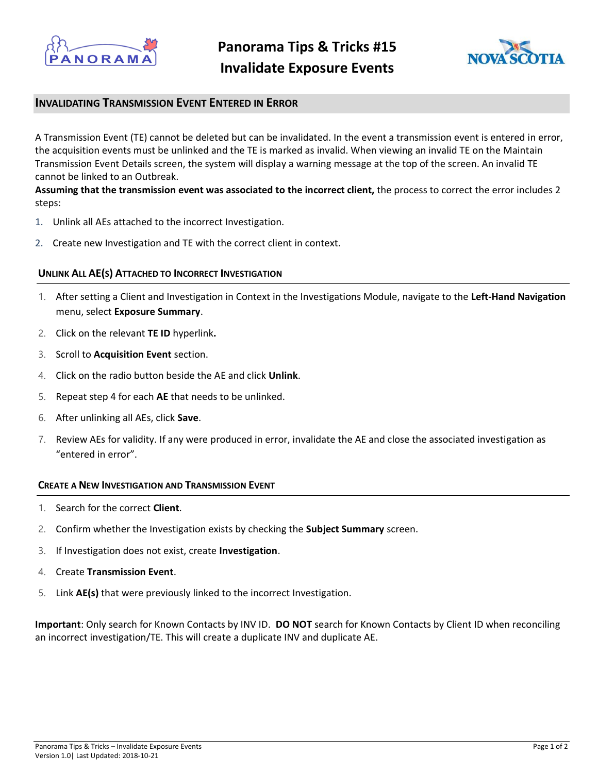



# **INVALIDATING TRANSMISSION EVENT ENTERED IN ERROR**

A Transmission Event (TE) cannot be deleted but can be invalidated. In the event a transmission event is entered in error, the acquisition events must be unlinked and the TE is marked as invalid. When viewing an invalid TE on the Maintain Transmission Event Details screen, the system will display a warning message at the top of the screen. An invalid TE cannot be linked to an Outbreak.

**Assuming that the transmission event was associated to the incorrect client,** the process to correct the error includes 2 steps:

- 1. Unlink all AEs attached to the incorrect Investigation.
- 2. Create new Investigation and TE with the correct client in context.

### **UNLINK ALL AE(S) ATTACHED TO INCORRECT INVESTIGATION**

- 1. After setting a Client and Investigation in Context in the Investigations Module, navigate to the **Left-Hand Navigation**  menu, select **Exposure Summary**.
- 2. Click on the relevant **TE ID** hyperlink**.**
- 3. Scroll to **Acquisition Event** section.
- 4. Click on the radio button beside the AE and click **Unlink**.
- 5. Repeat step 4 for each **AE** that needs to be unlinked.
- 6. After unlinking all AEs, click **Save**.
- 7. Review AEs for validity. If any were produced in error, invalidate the AE and close the associated investigation as "entered in error".

#### **CREATE A NEW INVESTIGATION AND TRANSMISSION EVENT**

- 1. Search for the correct **Client**.
- 2. Confirm whether the Investigation exists by checking the **Subject Summary** screen.
- 3. If Investigation does not exist, create **Investigation**.
- 4. Create **Transmission Event**.
- 5. Link **AE(s)** that were previously linked to the incorrect Investigation.

**Important**: Only search for Known Contacts by INV ID. **DO NOT** search for Known Contacts by Client ID when reconciling an incorrect investigation/TE. This will create a duplicate INV and duplicate AE.